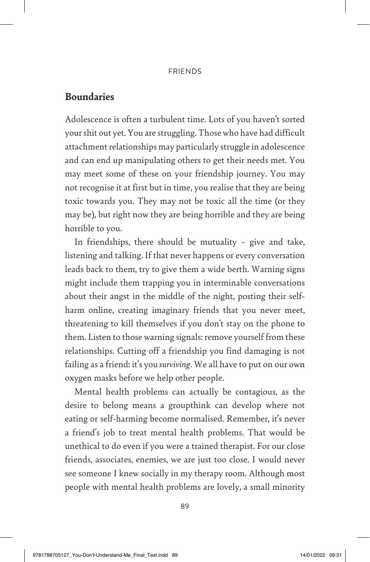#### **FRIENDS**

## **Boundaries**

Adolescence is often a turbulent time. Lots of you haven't sorted your shit out yet. You are struggling. Those who have had difficult attachment relationships may particularly struggle in adolescence and can end up manipulating others to get their needs met. You may meet some of these on your friendship journey. You may not recognise it at first but in time, you realise that they are being toxic towards you. They may not be toxic all the time (or they may be), but right now they are being horrible and they are being horrible to you.

In friendships, there should be mutuality – give and take, listening and talking. If that never happens or every conversation leads back to them, try to give them a wide berth. Warning signs might include them trapping you in interminable conversations about their angst in the middle of the night, posting their selfharm online, creating imaginary friends that you never meet, threatening to kill themselves if you don't stay on the phone to them. Listen to those warning signals: remove yourself from these relationships. Cutting off a friendship you find damaging is not failing as a friend: it's you *surviving*. We all have to put on our own oxygen masks before we help other people.

Mental health problems can actually be contagious, as the desire to belong means a groupthink can develop where not eating or self-harming become normalised. Remember, it's never a friend's job to treat mental health problems. That would be unethical to do even if you were a trained therapist. For our close friends, associates, enemies, we are just too close. I would never see someone I knew socially in my therapy room. Although most people with mental health problems are lovely, a small minority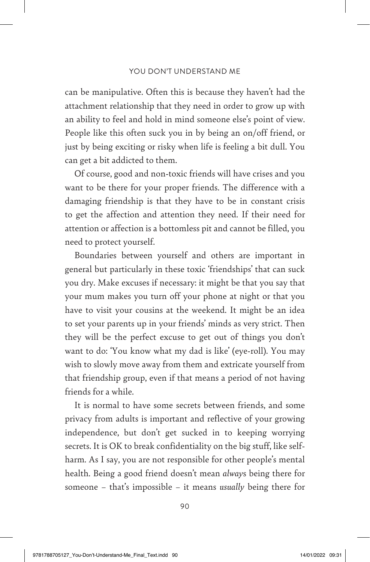### YOU DON'T UNDERSTAND ME

can be manipulative. Often this is because they haven't had the attachment relationship that they need in order to grow up with an ability to feel and hold in mind someone else's point of view. People like this often suck you in by being an on/off friend, or just by being exciting or risky when life is feeling a bit dull. You can get a bit addicted to them.

Of course, good and non-toxic friends will have crises and you want to be there for your proper friends. The difference with a damaging friendship is that they have to be in constant crisis to get the affection and attention they need. If their need for attention or affection is a bottomless pit and cannot be filled, you need to protect yourself.

Boundaries between yourself and others are important in general but particularly in these toxic 'friendships' that can suck you dry. Make excuses if necessary: it might be that you say that your mum makes you turn off your phone at night or that you have to visit your cousins at the weekend. It might be an idea to set your parents up in your friends' minds as very strict. Then they will be the perfect excuse to get out of things you don't want to do: 'You know what my dad is like' (eye-roll). You may wish to slowly move away from them and extricate yourself from that friendship group, even if that means a period of not having friends for a while.

It is normal to have some secrets between friends, and some privacy from adults is important and reflective of your growing independence, but don't get sucked in to keeping worrying secrets. It is OK to break confidentiality on the big stuff, like selfharm. As I say, you are not responsible for other people's mental health. Being a good friend doesn't mean *alway*s being there for someone – that's impossible – it means *usually* being there for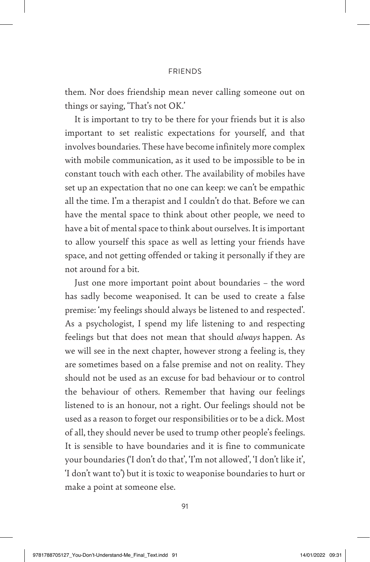#### **FRIENDS**

them. Nor does friendship mean never calling someone out on things or saying, 'That's not OK.'

It is important to try to be there for your friends but it is also important to set realistic expectations for yourself, and that involves boundaries. These have become infinitely more complex with mobile communication, as it used to be impossible to be in constant touch with each other. The availability of mobiles have set up an expectation that no one can keep: we can't be empathic all the time. I'm a therapist and I couldn't do that. Before we can have the mental space to think about other people, we need to have a bit of mental space to think about ourselves. It is important to allow yourself this space as well as letting your friends have space, and not getting offended or taking it personally if they are not around for a bit.

Just one more important point about boundaries – the word has sadly become weaponised. It can be used to create a false premise: 'my feelings should always be listened to and respected'. As a psychologist, I spend my life listening to and respecting feelings but that does not mean that should *always* happen. As we will see in the next chapter, however strong a feeling is, they are sometimes based on a false premise and not on reality. They should not be used as an excuse for bad behaviour or to control the behaviour of others. Remember that having our feelings listened to is an honour, not a right. Our feelings should not be used as a reason to forget our responsibilities or to be a dick. Most of all, they should never be used to trump other people's feelings. It is sensible to have boundaries and it is fine to communicate your boundaries ('I don't do that', 'I'm not allowed', 'I don't like it', 'I don't want to') but it is toxic to weaponise boundaries to hurt or make a point at someone else.